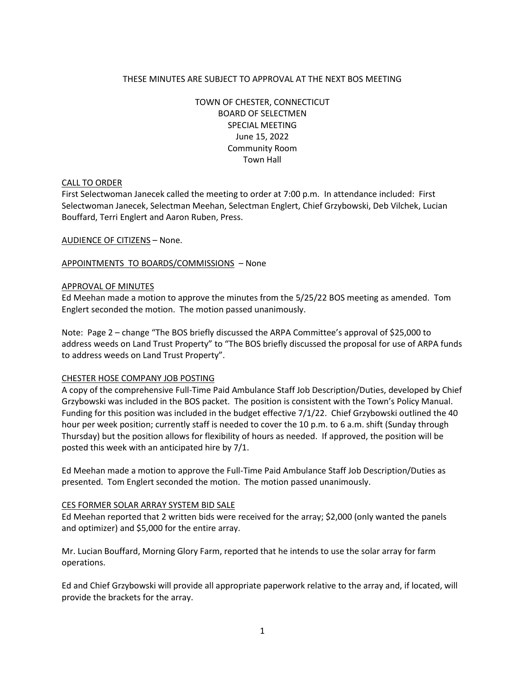# THESE MINUTES ARE SUBJECT TO APPROVAL AT THE NEXT BOS MEETING

TOWN OF CHESTER, CONNECTICUT BOARD OF SELECTMEN SPECIAL MEETING June 15, 2022 Community Room Town Hall

### CALL TO ORDER

First Selectwoman Janecek called the meeting to order at 7:00 p.m. In attendance included: First Selectwoman Janecek, Selectman Meehan, Selectman Englert, Chief Grzybowski, Deb Vilchek, Lucian Bouffard, Terri Englert and Aaron Ruben, Press.

AUDIENCE OF CITIZENS – None.

APPOINTMENTS TO BOARDS/COMMISSIONS – None

#### APPROVAL OF MINUTES

Ed Meehan made a motion to approve the minutes from the 5/25/22 BOS meeting as amended. Tom Englert seconded the motion. The motion passed unanimously.

Note: Page 2 – change "The BOS briefly discussed the ARPA Committee's approval of \$25,000 to address weeds on Land Trust Property" to "The BOS briefly discussed the proposal for use of ARPA funds to address weeds on Land Trust Property".

### CHESTER HOSE COMPANY JOB POSTING

A copy of the comprehensive Full-Time Paid Ambulance Staff Job Description/Duties, developed by Chief Grzybowski was included in the BOS packet. The position is consistent with the Town's Policy Manual. Funding for this position was included in the budget effective 7/1/22. Chief Grzybowski outlined the 40 hour per week position; currently staff is needed to cover the 10 p.m. to 6 a.m. shift (Sunday through Thursday) but the position allows for flexibility of hours as needed. If approved, the position will be posted this week with an anticipated hire by 7/1.

Ed Meehan made a motion to approve the Full-Time Paid Ambulance Staff Job Description/Duties as presented. Tom Englert seconded the motion. The motion passed unanimously.

#### CES FORMER SOLAR ARRAY SYSTEM BID SALE

Ed Meehan reported that 2 written bids were received for the array; \$2,000 (only wanted the panels and optimizer) and \$5,000 for the entire array.

Mr. Lucian Bouffard, Morning Glory Farm, reported that he intends to use the solar array for farm operations.

Ed and Chief Grzybowski will provide all appropriate paperwork relative to the array and, if located, will provide the brackets for the array.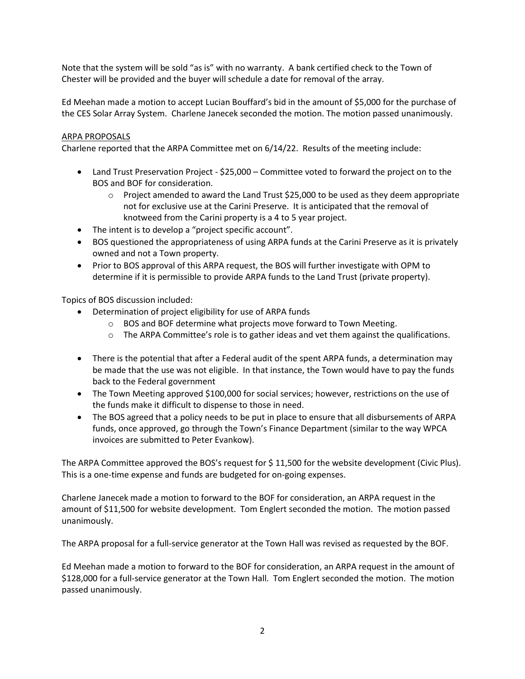Note that the system will be sold "as is" with no warranty. A bank certified check to the Town of Chester will be provided and the buyer will schedule a date for removal of the array.

Ed Meehan made a motion to accept Lucian Bouffard's bid in the amount of \$5,000 for the purchase of the CES Solar Array System. Charlene Janecek seconded the motion. The motion passed unanimously.

# ARPA PROPOSALS

Charlene reported that the ARPA Committee met on 6/14/22. Results of the meeting include:

- Land Trust Preservation Project \$25,000 Committee voted to forward the project on to the BOS and BOF for consideration.
	- $\circ$  Project amended to award the Land Trust \$25,000 to be used as they deem appropriate not for exclusive use at the Carini Preserve. It is anticipated that the removal of knotweed from the Carini property is a 4 to 5 year project.
- The intent is to develop a "project specific account".
- BOS questioned the appropriateness of using ARPA funds at the Carini Preserve as it is privately owned and not a Town property.
- Prior to BOS approval of this ARPA request, the BOS will further investigate with OPM to determine if it is permissible to provide ARPA funds to the Land Trust (private property).

Topics of BOS discussion included:

- Determination of project eligibility for use of ARPA funds
	- $\circ$  BOS and BOF determine what projects move forward to Town Meeting.
	- $\circ$  The ARPA Committee's role is to gather ideas and vet them against the qualifications.
- There is the potential that after a Federal audit of the spent ARPA funds, a determination may be made that the use was not eligible. In that instance, the Town would have to pay the funds back to the Federal government
- The Town Meeting approved \$100,000 for social services; however, restrictions on the use of the funds make it difficult to dispense to those in need.
- The BOS agreed that a policy needs to be put in place to ensure that all disbursements of ARPA funds, once approved, go through the Town's Finance Department (similar to the way WPCA invoices are submitted to Peter Evankow).

The ARPA Committee approved the BOS's request for \$ 11,500 for the website development (Civic Plus). This is a one-time expense and funds are budgeted for on-going expenses.

Charlene Janecek made a motion to forward to the BOF for consideration, an ARPA request in the amount of \$11,500 for website development. Tom Englert seconded the motion. The motion passed unanimously.

The ARPA proposal for a full-service generator at the Town Hall was revised as requested by the BOF.

Ed Meehan made a motion to forward to the BOF for consideration, an ARPA request in the amount of \$128,000 for a full-service generator at the Town Hall. Tom Englert seconded the motion. The motion passed unanimously.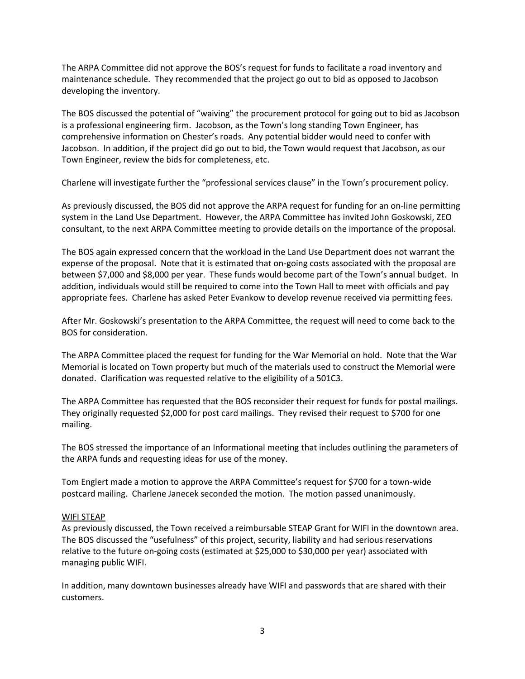The ARPA Committee did not approve the BOS's request for funds to facilitate a road inventory and maintenance schedule. They recommended that the project go out to bid as opposed to Jacobson developing the inventory.

The BOS discussed the potential of "waiving" the procurement protocol for going out to bid as Jacobson is a professional engineering firm. Jacobson, as the Town's long standing Town Engineer, has comprehensive information on Chester's roads. Any potential bidder would need to confer with Jacobson. In addition, if the project did go out to bid, the Town would request that Jacobson, as our Town Engineer, review the bids for completeness, etc.

Charlene will investigate further the "professional services clause" in the Town's procurement policy.

As previously discussed, the BOS did not approve the ARPA request for funding for an on-line permitting system in the Land Use Department. However, the ARPA Committee has invited John Goskowski, ZEO consultant, to the next ARPA Committee meeting to provide details on the importance of the proposal.

The BOS again expressed concern that the workload in the Land Use Department does not warrant the expense of the proposal. Note that it is estimated that on-going costs associated with the proposal are between \$7,000 and \$8,000 per year. These funds would become part of the Town's annual budget. In addition, individuals would still be required to come into the Town Hall to meet with officials and pay appropriate fees. Charlene has asked Peter Evankow to develop revenue received via permitting fees.

After Mr. Goskowski's presentation to the ARPA Committee, the request will need to come back to the BOS for consideration.

The ARPA Committee placed the request for funding for the War Memorial on hold. Note that the War Memorial is located on Town property but much of the materials used to construct the Memorial were donated. Clarification was requested relative to the eligibility of a 501C3.

The ARPA Committee has requested that the BOS reconsider their request for funds for postal mailings. They originally requested \$2,000 for post card mailings. They revised their request to \$700 for one mailing.

The BOS stressed the importance of an Informational meeting that includes outlining the parameters of the ARPA funds and requesting ideas for use of the money.

Tom Englert made a motion to approve the ARPA Committee's request for \$700 for a town-wide postcard mailing. Charlene Janecek seconded the motion. The motion passed unanimously.

### WIFI STEAP

As previously discussed, the Town received a reimbursable STEAP Grant for WIFI in the downtown area. The BOS discussed the "usefulness" of this project, security, liability and had serious reservations relative to the future on-going costs (estimated at \$25,000 to \$30,000 per year) associated with managing public WIFI.

In addition, many downtown businesses already have WIFI and passwords that are shared with their customers.